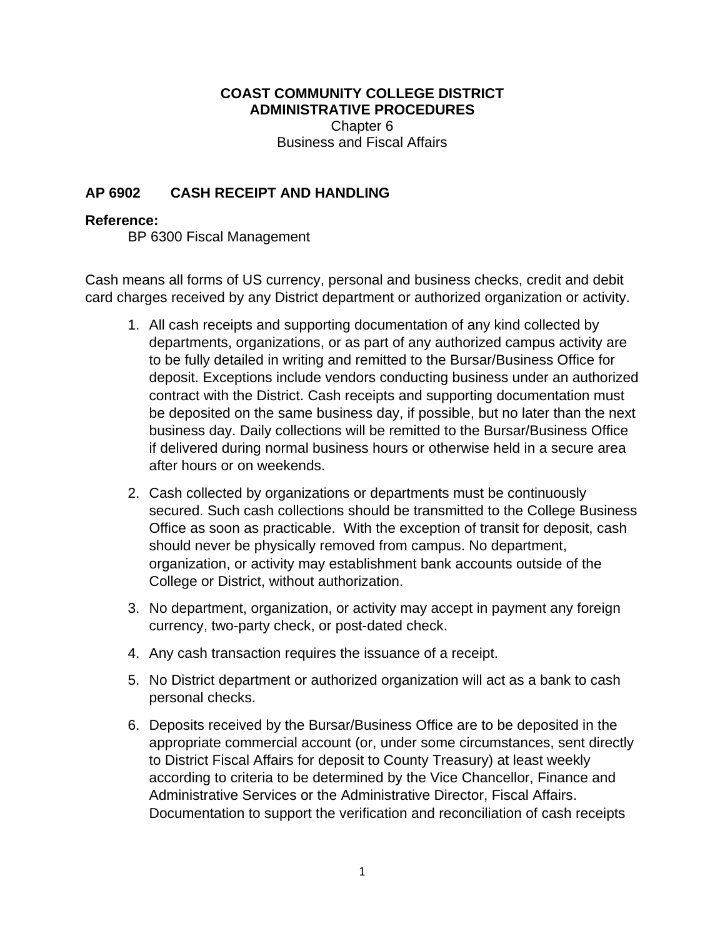## **COAST COMMUNITY COLLEGE DISTRICT ADMINISTRATIVE PROCEDURES**

 Chapter 6 Business and Fiscal Affairs

## **AP 6902 CASH RECEIPT AND HANDLING**

## **Reference:**

BP 6300 Fiscal Management

Cash means all forms of US currency, personal and business checks, credit and debit card charges received by any District department or authorized organization or activity.

- 1. All cash receipts and supporting documentation of any kind collected by departments, organizations, or as part of any authorized campus activity are to be fully detailed in writing and remitted to the Bursar/Business Office for deposit. Exceptions include vendors conducting business under an authorized contract with the District. Cash receipts and supporting documentation must be deposited on the same business day, if possible, but no later than the next business day. Daily collections will be remitted to the Bursar/Business Office if delivered during normal business hours or otherwise held in a secure area after hours or on weekends.
- 2. Cash collected by organizations or departments must be continuously secured. Such cash collections should be transmitted to the College Business Office as soon as practicable. With the exception of transit for deposit, cash should never be physically removed from campus. No department, organization, or activity may establishment bank accounts outside of the College or District, without authorization.
- 3. No department, organization, or activity may accept in payment any foreign currency, two-party check, or post-dated check.
- 4. Any cash transaction requires the issuance of a receipt.
- 5. No District department or authorized organization will act as a bank to cash personal checks.
- 6. Deposits received by the Bursar/Business Office are to be deposited in the appropriate commercial account (or, under some circumstances, sent directly to District Fiscal Affairs for deposit to County Treasury) at least weekly according to criteria to be determined by the Vice Chancellor, Finance and Administrative Services or the Administrative Director, Fiscal Affairs. Documentation to support the verification and reconciliation of cash receipts